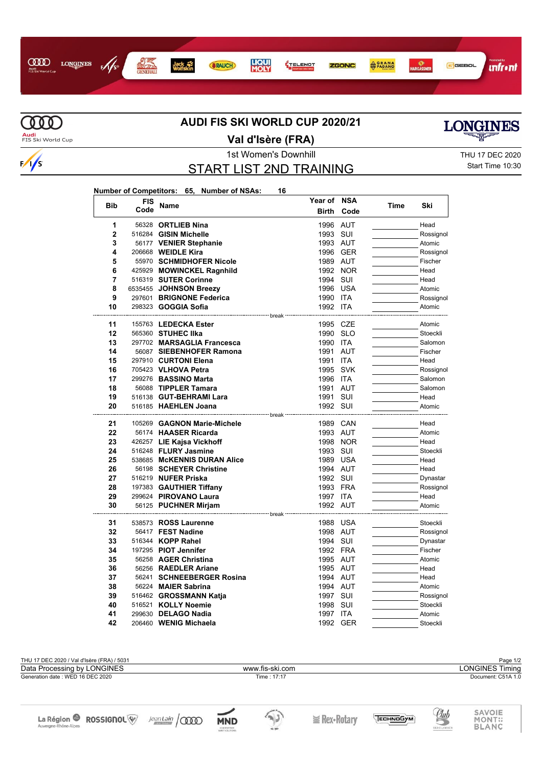



 $\sqrt{s}$ 

## **AUDI FIS SKI WORLD CUP 2020/21**

**Audi**<br>FIS Ski World Cup

**Val d'Isère (FRA)**



## START LIST 2ND TRAINING

Start Time 10:30

**LONGINES** 

| Number of Competitors: 65, Number of NSAs: |  |  | 16. |
|--------------------------------------------|--|--|-----|
|--------------------------------------------|--|--|-----|

| <b>Bib</b> | <b>FIS</b> | Name                                               | Year of      | <b>NSA</b> | Time | Ski       |
|------------|------------|----------------------------------------------------|--------------|------------|------|-----------|
|            | Code       |                                                    | <b>Birth</b> | Code       |      |           |
| 1          |            | 56328 ORTLIEB Nina                                 | 1996         | <b>AUT</b> |      | Head      |
| 2          | 516284     | <b>GISIN Michelle</b>                              | 1993         | SUI        |      | Rossignol |
| 3          |            | 56177 VENIER Stephanie                             | 1993 AUT     |            |      | Atomic    |
| 4          |            | 206668 <b>WEIDLE Kira</b>                          |              | 1996 GER   |      | Rossignol |
| 5          |            | 55970 SCHMIDHOFER Nicole                           | 1989 AUT     |            |      | Fischer   |
| 6          |            | 425929 MOWINCKEL Ragnhild                          |              | 1992 NOR   |      | Head      |
| 7          |            | 516319 SUTER Corinne                               | 1994         | SUI        |      | Head      |
| 8          |            | 6535455 JOHNSON Breezy                             |              | 1996 USA   |      | Atomic    |
| 9          |            | 297601 BRIGNONE Federica                           | 1990         | <b>ITA</b> |      | Rossignol |
| 10         |            | 298323 <b>GOGGIA Sofia</b>                         | 1992 ITA     |            |      | Atomic    |
|            |            | <sup></sup> hreak                                  |              |            |      |           |
| 11         |            | 155763 LEDECKA Ester                               | 1995 CZE     |            |      | Atomic    |
| 12         |            | 565360 STUHEC IIka                                 | 1990         | <b>SLO</b> |      | Stoeckli  |
| 13         |            | 297702 MARSAGLIA Francesca                         | 1990         | ITA        |      | Salomon   |
| 14         |            | 56087 SIEBENHOFER Ramona                           | 1991         | AUT        |      | Fischer   |
| 15         |            | 297910 CURTONI Elena                               | 1991         | <b>ITA</b> |      | Head      |
| 16         |            | 705423 VLHOVA Petra                                | 1995         | <b>SVK</b> |      | Rossignol |
| 17         |            | 299276 BASSINO Marta                               | 1996         | ITA        |      | Salomon   |
| 18         |            | 56088 TIPPLER Tamara                               | 1991         | <b>AUT</b> |      | Salomon   |
| 19         |            | 516138 GUT-BEHRAMI Lara                            | 1991         | SUI        |      | Head      |
| 20         |            | 516185 HAEHLEN Joana                               | 1992 SUI     |            |      | Atomic    |
| 21         |            | ------------- break<br>105269 GAGNON Marie-Michele | 1989         | CAN        |      | Head      |
| 22         |            | 56174 HAASER Ricarda                               | 1993 AUT     |            |      | Atomic    |
| 23         |            | 426257 LIE Kajsa Vickhoff                          |              | 1998 NOR   |      | Head      |
| 24         |            | 516248 FLURY Jasmine                               | 1993 SUI     |            |      | Stoeckli  |
| 25         |            | 538685 McKENNIS DURAN Alice                        | 1989         | <b>USA</b> |      | Head      |
| 26         |            | 56198 SCHEYER Christine                            | 1994 AUT     |            |      | Head      |
| 27         |            | 516219 NUFER Priska                                | 1992 SUI     |            |      | Dynastar  |
| 28         |            | 197383 GAUTHIER Tiffany                            | 1993 FRA     |            |      | Rossignol |
| 29         |            | 299624 PIROVANO Laura                              | 1997 ITA     |            |      | Head      |
| 30         |            | 56125 PUCHNER Mirjam                               | 1992 AUT     |            |      | Atomic    |
|            |            | --------------- break                              |              |            |      |           |
| 31         |            | 538573 ROSS Laurenne                               |              | 1988 USA   |      | Stoeckli  |
| 32         |            | 56417 FEST Nadine                                  | 1998         | AUT        |      | Rossignol |
| 33         |            | 516344 KOPP Rahel                                  | 1994 SUI     |            |      | Dynastar  |
| 34         |            | 197295 PIOT Jennifer                               | 1992 FRA     |            |      | Fischer   |
| 35         |            | 56258 AGER Christina                               | 1995 AUT     |            |      | Atomic    |
| 36         |            | 56256 RAEDLER Ariane                               | 1995 AUT     |            |      | Head      |
| 37         |            | 56241 SCHNEEBERGER Rosina                          | 1994 AUT     |            |      | Head      |
| 38         |            | 56224 MAIER Sabrina                                | 1994 AUT     |            |      | Atomic    |
| 39         |            | 516462 GROSSMANN Katja                             | 1997         | SUI        |      | Rossignol |
| 40         |            | 516521 KOLLY Noemie                                | 1998         | SUI        |      | Stoeckli  |
| 41         |            | 299630 DELAGO Nadia                                | 1997 ITA     |            |      | Atomic    |
| 42         |            | 206460 WENIG Michaela                              | 1992         | <b>GER</b> |      | Stoeckli  |

| THU 17 DEC 2020 / Val d'Isère (FRA) / 5031                            |                   |                           |        |                   |                        |                            | Page 1/2                         |
|-----------------------------------------------------------------------|-------------------|---------------------------|--------|-------------------|------------------------|----------------------------|----------------------------------|
| Data Processing by LONGINES<br>www.fis-ski.com                        |                   |                           |        |                   | <b>LONGINES Timing</b> |                            |                                  |
| Generation date: WED 16 DEC 2020<br>Time: 17:17                       |                   |                           |        |                   |                        | Document: C51A 1.0         |                                  |
| La Région <sup>@</sup> ROSSIGNOL <sup>W</sup><br>Auvergne-Rhône-Alpes | $JeanLain$ $\sim$ | <b>MND</b><br>CHE PARTNER | de Ski | $\geq$ Rex-Rotary | ECHNOGYM               | Club<br><b>SKI CLASSIC</b> | SAVOIE<br>MONT::<br><b>BLANC</b> |